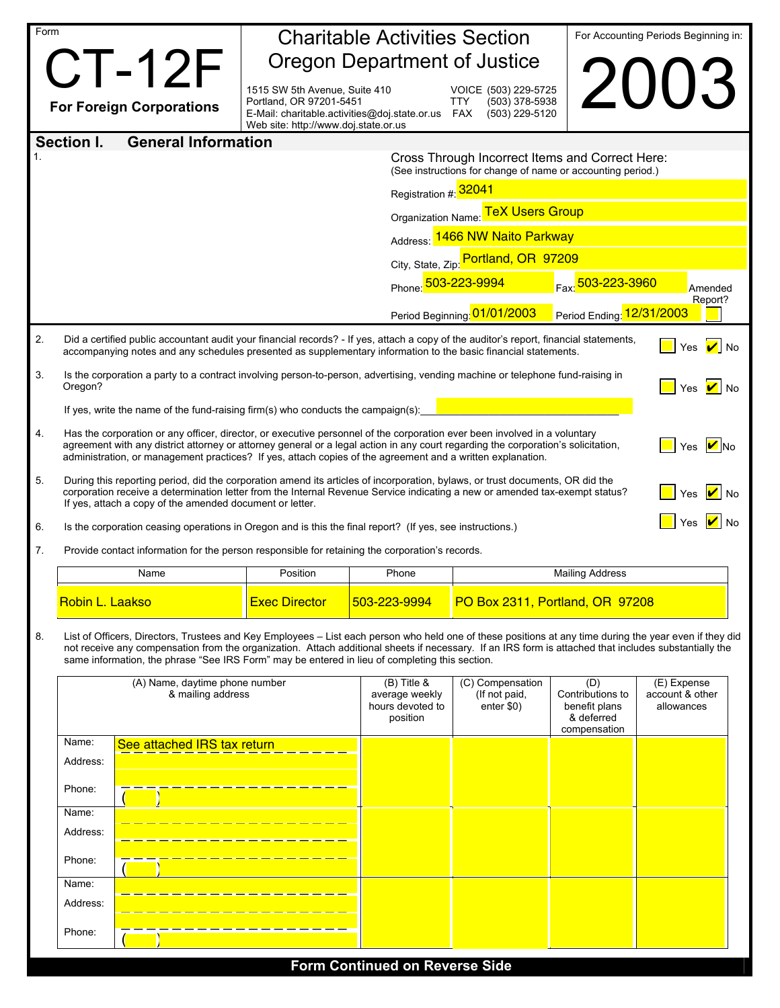| Form                                     |                                                                                                                                                                                                                                                                                                                                                                                                                    | <b>Charitable Activities Section</b>                                                                                                              |                                                 |                                                                                                                |                                              | For Accounting Periods Beginning in: |  |  |  |  |  |  |
|------------------------------------------|--------------------------------------------------------------------------------------------------------------------------------------------------------------------------------------------------------------------------------------------------------------------------------------------------------------------------------------------------------------------------------------------------------------------|---------------------------------------------------------------------------------------------------------------------------------------------------|-------------------------------------------------|----------------------------------------------------------------------------------------------------------------|----------------------------------------------|--------------------------------------|--|--|--|--|--|--|
|                                          | <b>CT-12F</b>                                                                                                                                                                                                                                                                                                                                                                                                      | <b>Oregon Department of Justice</b>                                                                                                               |                                                 |                                                                                                                |                                              |                                      |  |  |  |  |  |  |
|                                          | <b>For Foreign Corporations</b>                                                                                                                                                                                                                                                                                                                                                                                    | 1515 SW 5th Avenue, Suite 410<br>Portland, OR 97201-5451<br>E-Mail: charitable.activities@doj.state.or.us<br>Web site: http://www.doj.state.or.us |                                                 | VOICE (503) 229-5725<br>(503) 378-5938<br><b>TTY</b><br>FAX<br>(503) 229-5120                                  |                                              | 2003                                 |  |  |  |  |  |  |
| Section I.<br><b>General Information</b> |                                                                                                                                                                                                                                                                                                                                                                                                                    |                                                                                                                                                   |                                                 |                                                                                                                |                                              |                                      |  |  |  |  |  |  |
|                                          |                                                                                                                                                                                                                                                                                                                                                                                                                    |                                                                                                                                                   |                                                 | Cross Through Incorrect Items and Correct Here:<br>(See instructions for change of name or accounting period.) |                                              |                                      |  |  |  |  |  |  |
|                                          |                                                                                                                                                                                                                                                                                                                                                                                                                    |                                                                                                                                                   | Registration #: 32041                           |                                                                                                                |                                              |                                      |  |  |  |  |  |  |
|                                          |                                                                                                                                                                                                                                                                                                                                                                                                                    |                                                                                                                                                   | Organization Name: TeX Users Group              |                                                                                                                |                                              |                                      |  |  |  |  |  |  |
|                                          |                                                                                                                                                                                                                                                                                                                                                                                                                    |                                                                                                                                                   | Address: 1466 NW Naito Parkway                  |                                                                                                                |                                              |                                      |  |  |  |  |  |  |
|                                          |                                                                                                                                                                                                                                                                                                                                                                                                                    |                                                                                                                                                   |                                                 | City, State, Zip: Portland, OR 97209<br>Phone: 503-223-9994                                                    |                                              |                                      |  |  |  |  |  |  |
|                                          |                                                                                                                                                                                                                                                                                                                                                                                                                    |                                                                                                                                                   |                                                 |                                                                                                                | Fax: 503-223-3960                            | Amended<br>Report?                   |  |  |  |  |  |  |
|                                          |                                                                                                                                                                                                                                                                                                                                                                                                                    |                                                                                                                                                   |                                                 | Period Beginning: 01/01/2003                                                                                   | Period Ending: 12/31/2003                    |                                      |  |  |  |  |  |  |
| 2.                                       | Did a certified public accountant audit your financial records? - If yes, attach a copy of the auditor's report, financial statements,<br>Yes $\mathbf{V}$ No<br>accompanying notes and any schedules presented as supplementary information to the basic financial statements.                                                                                                                                    |                                                                                                                                                   |                                                 |                                                                                                                |                                              |                                      |  |  |  |  |  |  |
| 3.                                       | Oregon?                                                                                                                                                                                                                                                                                                                                                                                                            | Is the corporation a party to a contract involving person-to-person, advertising, vending machine or telephone fund-raising in<br>Yes $ $ No      |                                                 |                                                                                                                |                                              |                                      |  |  |  |  |  |  |
|                                          | If yes, write the name of the fund-raising firm(s) who conducts the campaign(s):                                                                                                                                                                                                                                                                                                                                   |                                                                                                                                                   |                                                 |                                                                                                                |                                              |                                      |  |  |  |  |  |  |
| 4.                                       | Has the corporation or any officer, director, or executive personnel of the corporation ever been involved in a voluntary<br>agreement with any district attorney or attorney general or a legal action in any court regarding the corporation's solicitation,<br>$ V _{\mathsf{No}}$<br>Yes<br>administration, or management practices? If yes, attach copies of the agreement and a written explanation.         |                                                                                                                                                   |                                                 |                                                                                                                |                                              |                                      |  |  |  |  |  |  |
| 5.                                       | During this reporting period, did the corporation amend its articles of incorporation, bylaws, or trust documents, OR did the<br>corporation receive a determination letter from the Internal Revenue Service indicating a new or amended tax-exempt status?<br>Yes<br>If yes, attach a copy of the amended document or letter.                                                                                    |                                                                                                                                                   |                                                 |                                                                                                                |                                              |                                      |  |  |  |  |  |  |
| 6.                                       |                                                                                                                                                                                                                                                                                                                                                                                                                    | Yes<br>Is the corporation ceasing operations in Oregon and is this the final report? (If yes, see instructions.)                                  |                                                 |                                                                                                                |                                              |                                      |  |  |  |  |  |  |
| 7.                                       |                                                                                                                                                                                                                                                                                                                                                                                                                    | Provide contact information for the person responsible for retaining the corporation's records.                                                   |                                                 |                                                                                                                |                                              |                                      |  |  |  |  |  |  |
|                                          | Name                                                                                                                                                                                                                                                                                                                                                                                                               | Position                                                                                                                                          | Phone                                           |                                                                                                                | <b>Mailing Address</b>                       |                                      |  |  |  |  |  |  |
|                                          | Robin L. Laakso                                                                                                                                                                                                                                                                                                                                                                                                    | <b>Exec Director</b>                                                                                                                              | 503-223-9994                                    |                                                                                                                | PO Box 2311, Portland, OR 97208              |                                      |  |  |  |  |  |  |
| 8.                                       | List of Officers, Directors, Trustees and Key Employees - List each person who held one of these positions at any time during the year even if they did<br>not receive any compensation from the organization. Attach additional sheets if necessary. If an IRS form is attached that includes substantially the<br>same information, the phrase "See IRS Form" may be entered in lieu of completing this section. |                                                                                                                                                   |                                                 |                                                                                                                |                                              |                                      |  |  |  |  |  |  |
|                                          | (A) Name, daytime phone number<br>& mailing address                                                                                                                                                                                                                                                                                                                                                                | $(B)$ Title &<br>average weekly<br>hours devoted to<br>position                                                                                   | (C) Compensation<br>(If not paid,<br>enter \$0) | (D)<br>Contributions to<br>benefit plans<br>& deferred<br>compensation                                         | (E) Expense<br>account & other<br>allowances |                                      |  |  |  |  |  |  |
|                                          | Name:<br>See attached IRS tax return<br>Address:                                                                                                                                                                                                                                                                                                                                                                   |                                                                                                                                                   |                                                 |                                                                                                                |                                              |                                      |  |  |  |  |  |  |
|                                          | Phone:                                                                                                                                                                                                                                                                                                                                                                                                             |                                                                                                                                                   |                                                 |                                                                                                                |                                              |                                      |  |  |  |  |  |  |
|                                          | Name:                                                                                                                                                                                                                                                                                                                                                                                                              |                                                                                                                                                   |                                                 |                                                                                                                |                                              |                                      |  |  |  |  |  |  |
|                                          | Address:                                                                                                                                                                                                                                                                                                                                                                                                           |                                                                                                                                                   |                                                 |                                                                                                                |                                              |                                      |  |  |  |  |  |  |
|                                          | Phone:                                                                                                                                                                                                                                                                                                                                                                                                             |                                                                                                                                                   |                                                 |                                                                                                                |                                              |                                      |  |  |  |  |  |  |
|                                          | Name:                                                                                                                                                                                                                                                                                                                                                                                                              |                                                                                                                                                   |                                                 |                                                                                                                |                                              |                                      |  |  |  |  |  |  |
|                                          | Address:                                                                                                                                                                                                                                                                                                                                                                                                           |                                                                                                                                                   |                                                 |                                                                                                                |                                              |                                      |  |  |  |  |  |  |
|                                          | Phone:                                                                                                                                                                                                                                                                                                                                                                                                             |                                                                                                                                                   |                                                 |                                                                                                                |                                              |                                      |  |  |  |  |  |  |
|                                          |                                                                                                                                                                                                                                                                                                                                                                                                                    |                                                                                                                                                   | ma Cantinuad an                                 |                                                                                                                |                                              |                                      |  |  |  |  |  |  |

**Form Continued on Reverse Side**